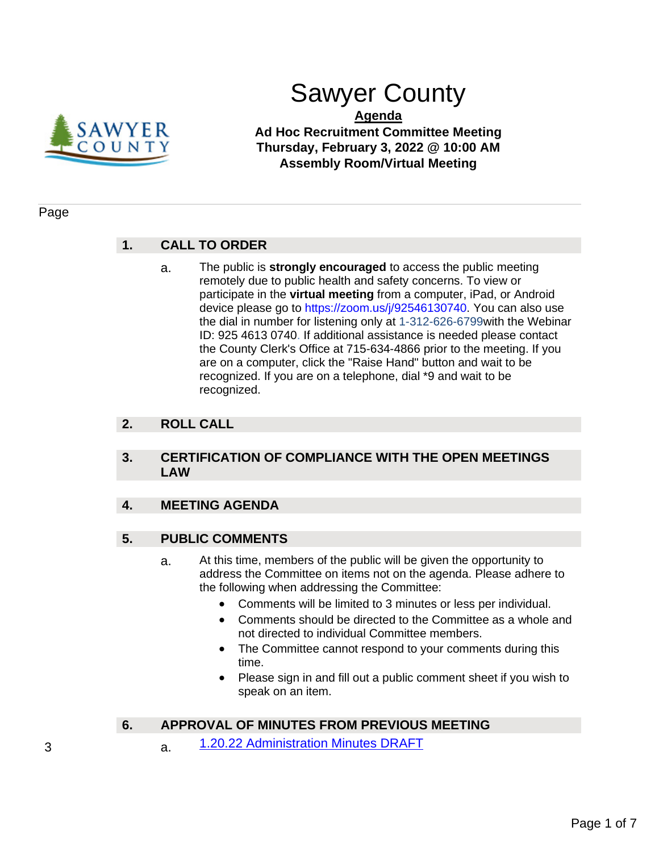

# Sawyer County

**Agenda Ad Hoc Recruitment Committee Meeting Thursday, February 3, 2022 @ 10:00 AM Assembly Room/Virtual Meeting**

## Page

# **1. CALL TO ORDER**

a. The public is **strongly encouraged** to access the public meeting remotely due to public health and safety concerns. To view or participate in the **virtual meeting** from a computer, iPad, or Android device please go to https://zoom.us/j/92546130740. You can also use the dial in number for listening only at 1-312-626-6799with the Webinar ID: 925 4613 0740. If additional assistance is needed please contact the County Clerk's Office at 715-634-4866 prior to the meeting. If you are on a computer, click the "Raise Hand" button and wait to be recognized. If you are on a telephone, dial \*9 and wait to be recognized.

# **2. ROLL CALL**

## **3. CERTIFICATION OF COMPLIANCE WITH THE OPEN MEETINGS LAW**

# **4. MEETING AGENDA**

# **5. PUBLIC COMMENTS**

- a. At this time, members of the public will be given the opportunity to address the Committee on items not on the agenda. Please adhere to the following when addressing the Committee:
	- Comments will be limited to 3 minutes or less per individual.
	- Comments should be directed to the Committee as a whole and not directed to individual Committee members.
	- The Committee cannot respond to your comments during this time.
	- Please sign in and fill out a public comment sheet if you wish to speak on an item.

# **6. APPROVAL OF MINUTES FROM PREVIOUS MEETING**

3 a. [1.20.22 Administration Minutes DRAFT](#page-2-0)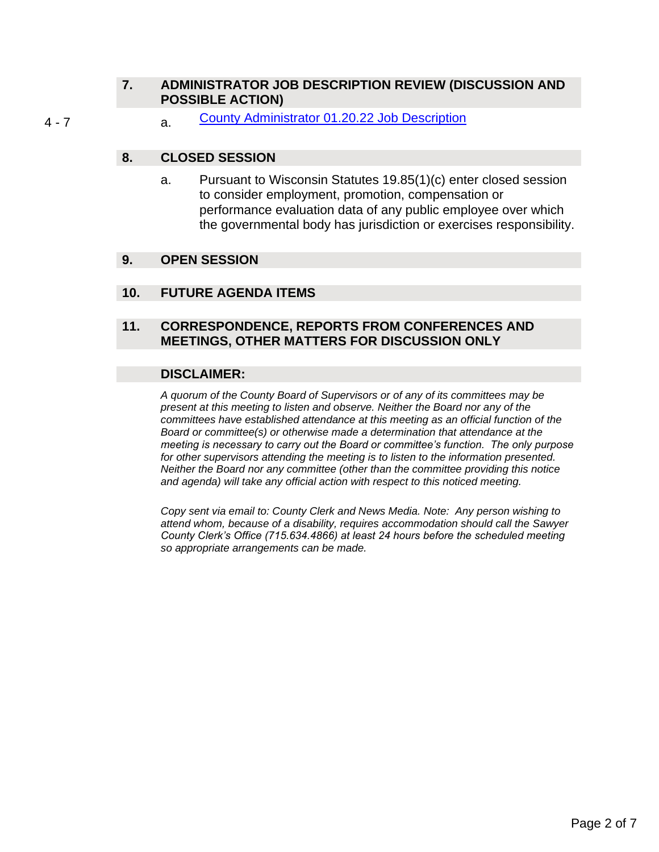# **7. ADMINISTRATOR JOB DESCRIPTION REVIEW (DISCUSSION AND POSSIBLE ACTION)**

4 - 7 a. [County Administrator 01.20.22 Job Description](#page-3-0)

## **8. CLOSED SESSION**

a. Pursuant to Wisconsin Statutes 19.85(1)(c) enter closed session to consider employment, promotion, compensation or performance evaluation data of any public employee over which the governmental body has jurisdiction or exercises responsibility.

## **9. OPEN SESSION**

## **10. FUTURE AGENDA ITEMS**

## **11. CORRESPONDENCE, REPORTS FROM CONFERENCES AND MEETINGS, OTHER MATTERS FOR DISCUSSION ONLY**

## **DISCLAIMER:**

*A quorum of the County Board of Supervisors or of any of its committees may be present at this meeting to listen and observe. Neither the Board nor any of the committees have established attendance at this meeting as an official function of the Board or committee(s) or otherwise made a determination that attendance at the meeting is necessary to carry out the Board or committee's function. The only purpose for other supervisors attending the meeting is to listen to the information presented. Neither the Board nor any committee (other than the committee providing this notice and agenda) will take any official action with respect to this noticed meeting.* 

*Copy sent via email to: County Clerk and News Media. Note: Any person wishing to attend whom, because of a disability, requires accommodation should call the Sawyer County Clerk's Office (715.634.4866) at least 24 hours before the scheduled meeting so appropriate arrangements can be made.*

Page 2 of 7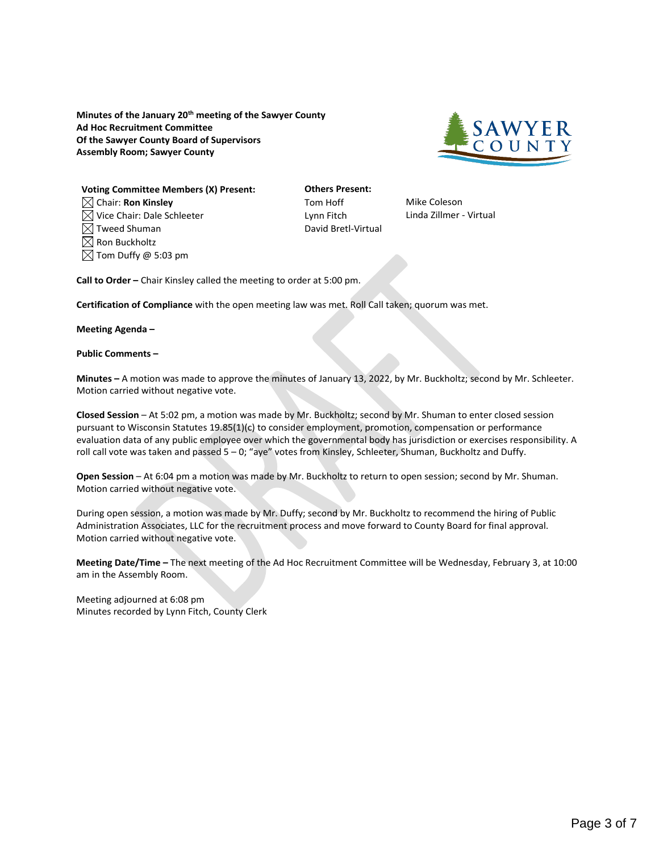<span id="page-2-0"></span>**Minutes of the January 20th meeting of the Sawyer County Ad Hoc Recruitment Committee Of the Sawyer County Board of Supervisors Assembly Room; Sawyer County**



**Voting Committee Members (X) Present: Others Present:** Chair: **Ron Kinsley** Tom Hoff Mike Coleson  $\boxtimes$  Vice Chair: Dale Schleeter Lynn Fitch Linda Zillmer - Virtual  $\boxtimes$  Tweed Shuman David Bretl-Virtual  $\boxtimes$  Ron Buckholtz  $\boxtimes$  Tom Duffy @ 5:03 pm

**Call to Order –** Chair Kinsley called the meeting to order at 5:00 pm.

**Certification of Compliance** with the open meeting law was met. Roll Call taken; quorum was met.

**Meeting Agenda –**

**Public Comments –**

**Minutes –** A motion was made to approve the minutes of January 13, 2022, by Mr. Buckholtz; second by Mr. Schleeter. Motion carried without negative vote.

**Closed Session** – At 5:02 pm, a motion was made by Mr. Buckholtz; second by Mr. Shuman to enter closed session pursuant to Wisconsin Statutes 19.85(1)(c) to consider employment, promotion, compensation or performance evaluation data of any public employee over which the governmental body has jurisdiction or exercises responsibility. A roll call vote was taken and passed 5 – 0; "aye" votes from Kinsley, Schleeter, Shuman, Buckholtz and Duffy.

**Open Session** – At 6:04 pm a motion was made by Mr. Buckholtz to return to open session; second by Mr. Shuman. Motion carried without negative vote.

During open session, a motion was made by Mr. Duffy; second by Mr. Buckholtz to recommend the hiring of Public Administration Associates, LLC for the recruitment process and move forward to County Board for final approval. Motion carried without negative vote.

**Meeting Date/Time –** The next meeting of the Ad Hoc Recruitment Committee will be Wednesday, February 3, at 10:00 am in the Assembly Room.

Meeting adjourned at 6:08 pm Minutes recorded by Lynn Fitch, County Clerk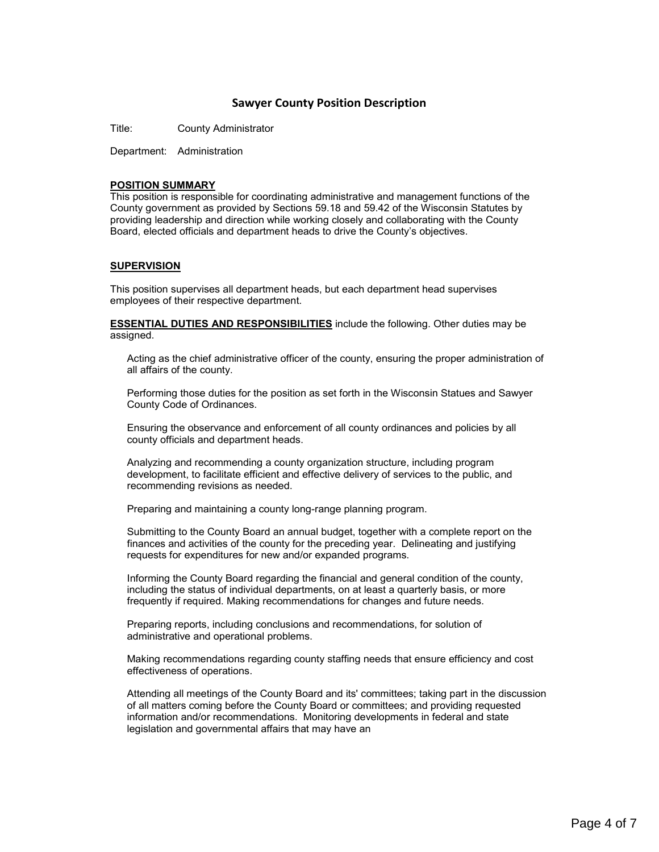### **Sawyer County Position Description**

<span id="page-3-0"></span>Title: County Administrator

Department: Administration

#### **POSITION SUMMARY**

This position is responsible for coordinating administrative and management functions of the County government as provided by Sections 59.18 and 59.42 of the Wisconsin Statutes by providing leadership and direction while working closely and collaborating with the County Board, elected officials and department heads to drive the County's objectives.

#### **SUPERVISION**

This position supervises all department heads, but each department head supervises employees of their respective department.

**ESSENTIAL DUTIES AND RESPONSIBILITIES** include the following. Other duties may be assigned.

Acting as the chief administrative officer of the county, ensuring the proper administration of all affairs of the county.

Performing those duties for the position as set forth in the Wisconsin Statues and Sawyer County Code of Ordinances.

Ensuring the observance and enforcement of all county ordinances and policies by all county officials and department heads.

Analyzing and recommending a county organization structure, including program development, to facilitate efficient and effective delivery of services to the public, and recommending revisions as needed.

Preparing and maintaining a county long-range planning program.

Submitting to the County Board an annual budget, together with a complete report on the finances and activities of the county for the preceding year. Delineating and justifying requests for expenditures for new and/or expanded programs.

Informing the County Board regarding the financial and general condition of the county, including the status of individual departments, on at least a quarterly basis, or more frequently if required. Making recommendations for changes and future needs.

Preparing reports, including conclusions and recommendations, for solution of administrative and operational problems.

Making recommendations regarding county staffing needs that ensure efficiency and cost effectiveness of operations.

Attending all meetings of the County Board and its' committees; taking part in the discussion of all matters coming before the County Board or committees; and providing requested information and/or recommendations. Monitoring developments in federal and state legislation and governmental affairs that may have an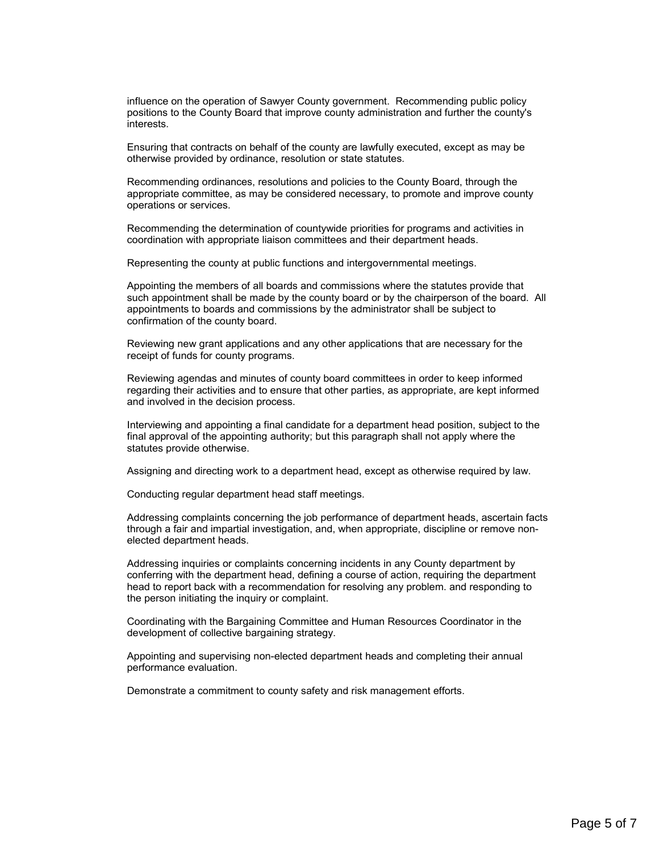influence on the operation of Sawyer County government. Recommending public policy positions to the County Board that improve county administration and further the county's interests.

Ensuring that contracts on behalf of the county are lawfully executed, except as may be otherwise provided by ordinance, resolution or state statutes.

Recommending ordinances, resolutions and policies to the County Board, through the appropriate committee, as may be considered necessary, to promote and improve county operations or services.

Recommending the determination of countywide priorities for programs and activities in coordination with appropriate liaison committees and their department heads.

Representing the county at public functions and intergovernmental meetings.

Appointing the members of all boards and commissions where the statutes provide that such appointment shall be made by the county board or by the chairperson of the board. All appointments to boards and commissions by the administrator shall be subject to confirmation of the county board.

Reviewing new grant applications and any other applications that are necessary for the receipt of funds for county programs.

Reviewing agendas and minutes of county board committees in order to keep informed regarding their activities and to ensure that other parties, as appropriate, are kept informed and involved in the decision process.

Interviewing and appointing a final candidate for a department head position, subject to the final approval of the appointing authority; but this paragraph shall not apply where the statutes provide otherwise.

Assigning and directing work to a department head, except as otherwise required by law.

Conducting regular department head staff meetings.

Addressing complaints concerning the job performance of department heads, ascertain facts through a fair and impartial investigation, and, when appropriate, discipline or remove nonelected department heads.

Addressing inquiries or complaints concerning incidents in any County department by conferring with the department head, defining a course of action, requiring the department head to report back with a recommendation for resolving any problem. and responding to the person initiating the inquiry or complaint.

Coordinating with the Bargaining Committee and Human Resources Coordinator in the development of collective bargaining strategy.

Appointing and supervising non-elected department heads and completing their annual performance evaluation.

Demonstrate a commitment to county safety and risk management efforts.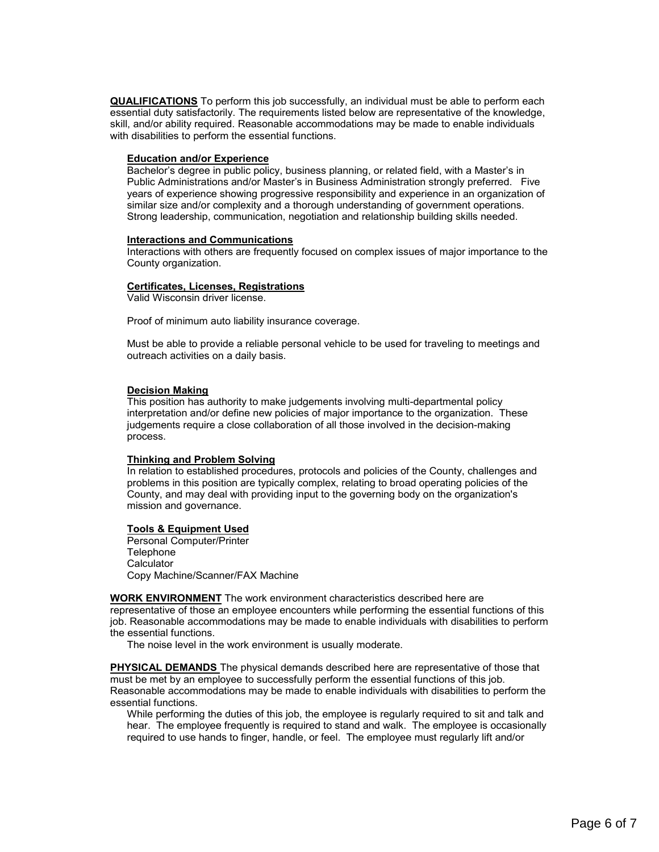**QUALIFICATIONS** To perform this job successfully, an individual must be able to perform each essential duty satisfactorily. The requirements listed below are representative of the knowledge, skill, and/or ability required. Reasonable accommodations may be made to enable individuals with disabilities to perform the essential functions.

#### **Education and/or Experience**

Bachelor's degree in public policy, business planning, or related field, with a Master's in Public Administrations and/or Master's in Business Administration strongly preferred. Five years of experience showing progressive responsibility and experience in an organization of similar size and/or complexity and a thorough understanding of government operations. Strong leadership, communication, negotiation and relationship building skills needed.

#### **Interactions and Communications**

Interactions with others are frequently focused on complex issues of major importance to the County organization.

#### **Certificates, Licenses, Registrations**

Valid Wisconsin driver license.

Proof of minimum auto liability insurance coverage.

Must be able to provide a reliable personal vehicle to be used for traveling to meetings and outreach activities on a daily basis.

#### **Decision Making**

This position has authority to make judgements involving multi-departmental policy interpretation and/or define new policies of major importance to the organization. These judgements require a close collaboration of all those involved in the decision-making process.

#### **Thinking and Problem Solving**

In relation to established procedures, protocols and policies of the County, challenges and problems in this position are typically complex, relating to broad operating policies of the County, and may deal with providing input to the governing body on the organization's mission and governance.

#### **Tools & Equipment Used**

Personal Computer/Printer **Telephone Calculator** Copy Machine/Scanner/FAX Machine

**WORK ENVIRONMENT** The work environment characteristics described here are

representative of those an employee encounters while performing the essential functions of this job. Reasonable accommodations may be made to enable individuals with disabilities to perform the essential functions.

The noise level in the work environment is usually moderate.

**PHYSICAL DEMANDS** The physical demands described here are representative of those that must be met by an employee to successfully perform the essential functions of this job. Reasonable accommodations may be made to enable individuals with disabilities to perform the essential functions.

While performing the duties of this job, the employee is regularly required to sit and talk and hear. The employee frequently is required to stand and walk. The employee is occasionally required to use hands to finger, handle, or feel. The employee must regularly lift and/or